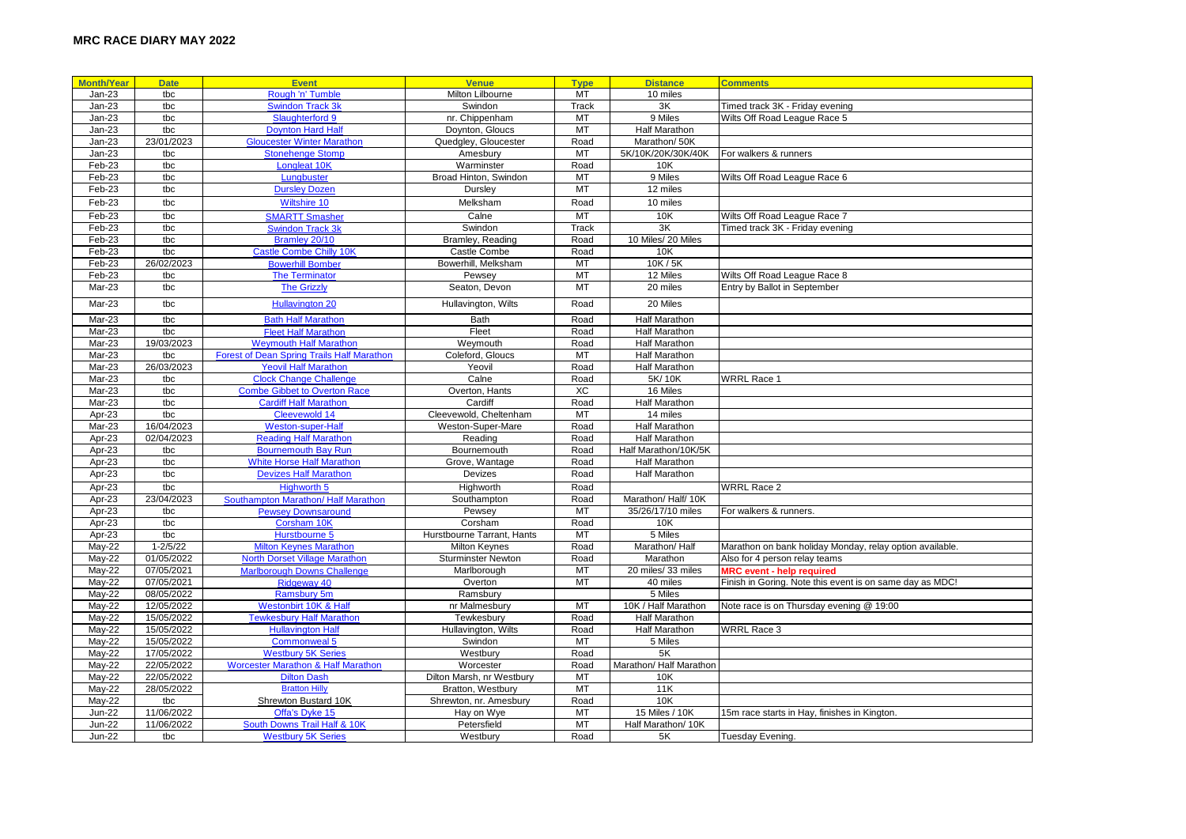| <b>Month/Year</b> | <b>Date</b>  | <b>Event</b>                                      | <b>Venue</b>               | <b>Type</b> | <b>Distance</b>         | <b>Comments</b>                                          |
|-------------------|--------------|---------------------------------------------------|----------------------------|-------------|-------------------------|----------------------------------------------------------|
| $Jan-23$          | tbc          | Rough 'n' Tumble                                  | Milton Lilbourne           | MT          | 10 miles                |                                                          |
| $Jan-23$          | tbc          | Swindon Track 3k                                  | Swindon                    | Track       | 3K                      | Timed track 3K - Friday evening                          |
| $Jan-23$          | tbc          | Slaughterford 9                                   | nr. Chippenham             | MT          | 9 Miles                 | Wilts Off Road League Race 5                             |
| $Jan-23$          | tbc          | <b>Doynton Hard Halt</b>                          | Doynton, Gloucs            | MT          | <b>Half Marathon</b>    |                                                          |
| $Jan-23$          | 23/01/2023   | <b>Gloucester Winter Marathon</b>                 | Quedgley, Gloucester       | Road        | Marathon/50K            |                                                          |
| $Jan-23$          | tbc          | <b>Stonehenge Stomp</b>                           | Amesbury                   | MT          | 5K/10K/20K/30K/40K      | For walkers & runners                                    |
| Feb-23            | tbc          | Longleat 10K                                      | Warminster                 | Road        | 10K                     |                                                          |
| Feb-23            | tbc          | Lungbuster                                        | Broad Hinton, Swindon      | MT          | 9 Miles                 | Wilts Off Road League Race 6                             |
| Feb-23            | tbc          | <b>Dursley Dozen</b>                              | Dursley                    | MT          | 12 miles                |                                                          |
| Feb-23            | tbc          | Wiltshire 10                                      | Melksham                   | Road        | 10 miles                |                                                          |
| Feb-23            | tbc          | <b>SMARTT Smasher</b>                             | Calne                      | <b>MT</b>   | 10K                     |                                                          |
|                   |              |                                                   | Swindon                    |             | 3K                      | Wilts Off Road League Race 7                             |
| Feb-23            | tbc          | <b>Swindon Track 3k</b>                           |                            | Track       |                         | Timed track 3K - Friday evening                          |
| Feb-23            | tbc          | Bramley 20/10                                     | Bramley, Reading           | Road        | 10 Miles/ 20 Miles      |                                                          |
| Feb-23            | tbc          | <b>Castle Combe Chilly 10K</b>                    | Castle Combe               | Road        | 10K                     |                                                          |
| Feb-23            | 26/02/2023   | <b>Bowerhill Bomber</b>                           | Bowerhill, Melksham        | MT          | 10K/5K                  |                                                          |
| Feb-23            | tbc          | <b>The Terminator</b>                             | Pewsey                     | MT          | 12 Miles                | Wilts Off Road League Race 8                             |
| Mar-23            | tbc          | <b>The Grizzly</b>                                | Seaton, Devon              | <b>MT</b>   | 20 miles                | Entry by Ballot in September                             |
| Mar-23            | tbc          | <b>Hullavington 20</b>                            | Hullavington, Wilts        | Road        | 20 Miles                |                                                          |
| Mar-23            | tbc          | <b>Bath Half Marathon</b>                         | <b>Bath</b>                | Road        | Half Marathon           |                                                          |
| Mar-23            | tbc          | <b>Fleet Half Marathon</b>                        | Fleet                      | Road        | <b>Half Marathon</b>    |                                                          |
| Mar-23            | 19/03/2023   | <b>Weymouth Half Marathon</b>                     | Weymouth                   | Road        | <b>Half Marathon</b>    |                                                          |
| Mar-23            | tbc          | <b>Forest of Dean Spring Trails Half Marathon</b> | Coleford, Gloucs           | <b>MT</b>   | <b>Half Marathon</b>    |                                                          |
| Mar-23            | 26/03/2023   | <b>Yeovil Half Marathon</b>                       | Yeovil                     | Road        | <b>Half Marathon</b>    |                                                          |
| Mar-23            | tbc          | <b>Clock Change Challenge</b>                     | Calne                      | Road        | 5K/10K                  | <b>WRRL Race 1</b>                                       |
| Mar-23            | tbc          | <b>Combe Gibbet to Overton Race</b>               | Overton, Hants             | XC          | 16 Miles                |                                                          |
| Mar-23            | tbc          | <b>Cardiff Half Marathon</b>                      | Cardiff                    | Road        | <b>Half Marathon</b>    |                                                          |
| Apr-23            | tbc          | Cleevewold 14                                     | Cleevewold, Cheltenham     | MT          | 14 miles                |                                                          |
| $Mar-23$          | 16/04/2023   | <b>Weston-super-Hal</b>                           | Weston-Super-Mare          | Road        | <b>Half Marathon</b>    |                                                          |
| Apr-23            | 02/04/2023   | <b>Reading Half Marathon</b>                      | Reading                    | Road        | <b>Half Marathon</b>    |                                                          |
| Apr-23            | tbc          | <b>Bournemouth Bay Run</b>                        | Bournemouth                | Road        | Half Marathon/10K/5K    |                                                          |
| Apr-23            | tbc          | <b>White Horse Half Marathon</b>                  | Grove, Wantage             | Road        | <b>Half Marathon</b>    |                                                          |
| Apr-23            | tbc          | <b>Devizes Half Marathon</b>                      | Devizes                    | Road        | <b>Half Marathon</b>    |                                                          |
| Apr-23            | tbc          | Highworth 5                                       | Highworth                  | Road        |                         | <b>WRRL Race 2</b>                                       |
| Apr-23            | 23/04/2023   | Southampton Marathon/ Half Marathon               | Southampton                | Road        | Marathon/ Half/ 10K     |                                                          |
| Apr-23            | tbc          | <b>Pewsey Downsaround</b>                         | Pewsey                     | MT          | 35/26/17/10 miles       | For walkers & runners.                                   |
| Apr-23            | tbc          | Corsham 10K                                       | Corsham                    | Road        | 10K                     |                                                          |
| Apr-23            | tbc          | Hurstbourne 5                                     | Hurstbourne Tarrant, Hants | MT          | 5 Miles                 |                                                          |
| <b>May-22</b>     | $1 - 2/5/22$ | <b>Milton Keynes Marathon</b>                     | Milton Keynes              | Road        | Marathon/Half           | Marathon on bank holiday Monday, relay option available. |
| May-22            | 01/05/2022   | <b>North Dorset Village Marathon</b>              | <b>Sturminster Newton</b>  | Road        | Marathon                | Also for 4 person relay teams                            |
| May-22            | 07/05/2021   | <b>Marlborough Downs Challenge</b>                | Marlborough                | MT          | 20 miles/ 33 miles      | <b>MRC event - help required</b>                         |
| May-22            | 07/05/2021   | Ridgeway 40                                       | Overton                    | MT          | 40 miles                | Finish in Goring. Note this event is on same day as MDC! |
| May-22            | 08/05/2022   | <b>Ramsbury 5m</b>                                | Ramsbury                   |             | 5 Miles                 |                                                          |
| May-22            | 12/05/2022   | Westonbirt 10K & Half                             | nr Malmesbury              | MT          | 10K / Half Marathon     | Note race is on Thursday evening @ 19:00                 |
| $May-22$          | 15/05/2022   | <b>Tewkesbury Half Marathon</b>                   | Tewkesbury                 | Road        | <b>Half Marathon</b>    |                                                          |
| May-22            | 15/05/2022   | <b>Hullavington Half</b>                          | Hullavington, Wilts        | Road        | <b>Half Marathon</b>    | <b>WRRL Race 3</b>                                       |
| May-22            | 15/05/2022   | Commonweal 5                                      | Swindon                    | MT          | 5 Miles                 |                                                          |
| May-22            | 17/05/2022   | <b>Westbury 5K Series</b>                         | Westbury                   | Road        | 5K                      |                                                          |
| May-22            | 22/05/2022   | <b>Worcester Marathon &amp; Half Marathon</b>     | Worcester                  | Road        | Marathon/ Half Marathon |                                                          |
| May-22            | 22/05/2022   | <b>Dilton Dash</b>                                | Dilton Marsh, nr Westbury  | MT          | 10K                     |                                                          |
| May-22            | 28/05/2022   | <b>Bratton Hilly</b>                              | Bratton, Westbury          | MT          | 11K                     |                                                          |
| May-22            | tbc          | Shrewton Bustard 10K                              | Shrewton, nr. Amesbury     | Road        | 10K                     |                                                          |
| <b>Jun-22</b>     | 11/06/2022   | Offa's Dyke 15                                    | Hay on Wye                 | MT          | 15 Miles / 10K          | 15m race starts in Hay, finishes in Kington.             |
| <b>Jun-22</b>     | 11/06/2022   | South Downs Trail Half & 10K                      | Petersfield                | MT          | Half Marathon/ 10K      |                                                          |
| $Jun-22$          | tbc          | <b>Westbury 5K Series</b>                         | Westbury                   | Road        | 5K                      | Tuesday Evening.                                         |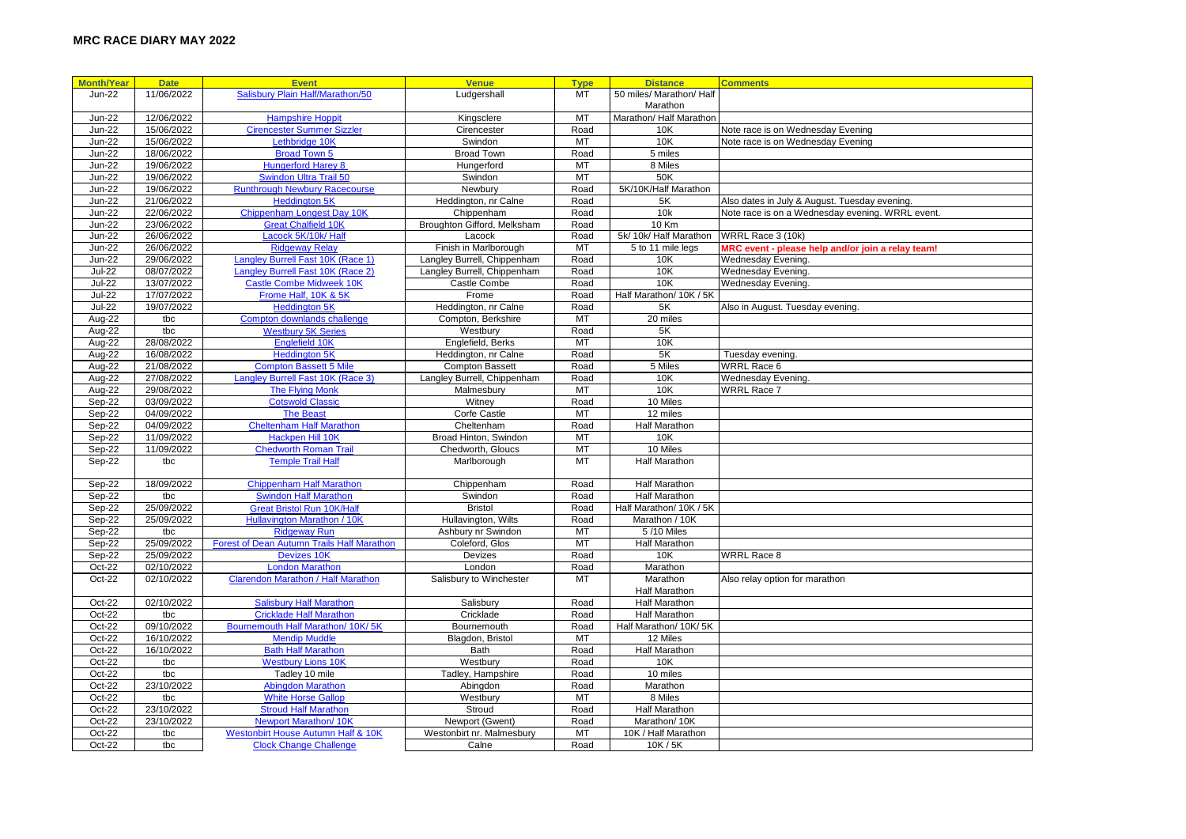| <b>Month/Year</b> | <b>Date</b> | <b>Event</b>                                      | <b>Venue</b>                | <b>Type</b> | <b>Distance</b>          | <b>Comments</b>                                   |
|-------------------|-------------|---------------------------------------------------|-----------------------------|-------------|--------------------------|---------------------------------------------------|
| <b>Jun-22</b>     | 11/06/2022  | Salisbury Plain Half/Marathon/50                  | Ludgershall                 | <b>MT</b>   | 50 miles/ Marathon/ Half |                                                   |
|                   |             |                                                   |                             |             | Marathon                 |                                                   |
| <b>Jun-22</b>     | 12/06/2022  | <b>Hampshire Hoppit</b>                           | Kingsclere                  | MT          | Marathon/ Half Marathon  |                                                   |
| <b>Jun-22</b>     | 15/06/2022  | <b>Cirencester Summer Sizzler</b>                 | Cirencester                 | Road        | 10K                      | Note race is on Wednesday Evening                 |
| <b>Jun-22</b>     | 15/06/2022  | Lethbridge 10K                                    | Swindon                     | MT          | 10K                      | Note race is on Wednesday Evening                 |
| <b>Jun-22</b>     | 18/06/2022  | <b>Broad Town 5</b>                               | <b>Broad Town</b>           | Road        | 5 miles                  |                                                   |
| <b>Jun-22</b>     | 19/06/2022  | <b>Hungerford Harey 8</b>                         | Hungerford                  | MT          | 8 Miles                  |                                                   |
| <b>Jun-22</b>     | 19/06/2022  | <b>Swindon Ultra Trail 50</b>                     | Swindon                     | <b>MT</b>   | 50K                      |                                                   |
| <b>Jun-22</b>     | 19/06/2022  | <b>Runthrough Newbury Racecourse</b>              | Newbury                     | Road        | 5K/10K/Half Marathon     |                                                   |
| <b>Jun-22</b>     | 21/06/2022  | <b>Heddington 5K</b>                              | Heddington, nr Calne        | Road        | 5K                       | Also dates in July & August. Tuesday evening.     |
| <b>Jun-22</b>     | 22/06/2022  | Chippenham Longest Day 10K                        | Chippenham                  | Road        | 10k                      | Note race is on a Wednesday evening. WRRL event.  |
| <b>Jun-22</b>     | 23/06/2022  | <b>Great Chalfield 10K</b>                        | Broughton Gifford, Melksham | Road        | $10$ Km                  |                                                   |
| <b>Jun-22</b>     | 26/06/2022  | Lacock 5K/10k/ Halt                               | Lacock                      | Road        | 5k/10k/ Half Marathon    | WRRL Race 3 (10k)                                 |
| <b>Jun-22</b>     | 26/06/2022  | <b>Ridgeway Relay</b>                             | Finish in Marlborough       | MT          | 5 to 11 mile legs        | MRC event - please help and/or join a relay team! |
| <b>Jun-22</b>     | 29/06/2022  | Langley Burrell Fast 10K (Race 1)                 | Langley Burrell, Chippenham | Road        | 10K                      | Wednesday Evening.                                |
| <b>Jul-22</b>     | 08/07/2022  | Langley Burrell Fast 10K (Race 2)                 | Langley Burrell, Chippenham | Road        | 10K                      | Wednesday Evening.                                |
| <b>Jul-22</b>     | 13/07/2022  | <b>Castle Combe Midweek 10K</b>                   | Castle Combe                | Road        | 10K                      | Wednesday Evening.                                |
| <b>Jul-22</b>     | 17/07/2022  | Frome Half, 10K & 5K                              | Frome                       | Road        | Half Marathon/ 10K / 5K  |                                                   |
| <b>Jul-22</b>     | 19/07/2022  | <b>Heddinaton 5K</b>                              | Heddington, nr Calne        | Road        | 5K                       | Also in August. Tuesday evening.                  |
| Aug-22            | tbc         | Compton downlands challenge                       | Compton, Berkshire          | MT          | 20 miles                 |                                                   |
| Aug- $22$         | tbc         | <b>Westbury 5K Series</b>                         | Westbury                    | Road        | 5K                       |                                                   |
| Aug-22            | 28/08/2022  | Englefield 10K                                    | Englefield, Berks           | MT          | 10K                      |                                                   |
| Aug-22            | 16/08/2022  | <b>Heddington 5K</b>                              | Heddington, nr Calne        | Road        | 5K                       | Tuesday evening.                                  |
| Aug-22            | 21/08/2022  | <b>Compton Bassett 5 Mile</b>                     | <b>Compton Bassett</b>      | Road        | 5 Miles                  | <b>WRRL Race 6</b>                                |
| Aug-22            | 27/08/2022  | Langley Burrell Fast 10K (Race 3)                 | Langley Burrell, Chippenham | Road        | 10K                      | Wednesday Evening.                                |
| Aug-22            | 29/08/2022  | <b>The Flying Monk</b>                            | Malmesbury                  | MT          | 10K                      | <b>WRRL Race 7</b>                                |
| Sep-22            | 03/09/2022  | <b>Cotswold Classic</b>                           | Witney                      | Road        | 10 Miles                 |                                                   |
| Sep-22            | 04/09/2022  | <b>The Beast</b>                                  | Corfe Castle                | MT          | 12 miles                 |                                                   |
| Sep-22            | 04/09/2022  | <b>Cheltenham Half Marathon</b>                   | Cheltenham                  | Road        | <b>Half Marathon</b>     |                                                   |
| Sep-22            | 11/09/2022  | Hackpen Hill 10K                                  | Broad Hinton, Swindon       | MT          | 10K                      |                                                   |
| Sep-22            | 11/09/2022  | <b>Chedworth Roman Trail</b>                      | Chedworth, Gloucs           | MT          | 10 Miles                 |                                                   |
| Sep-22            | tbc         | <b>Temple Trail Half</b>                          | Marlborough                 | <b>MT</b>   | <b>Half Marathon</b>     |                                                   |
| Sep-22            | 18/09/2022  | <b>Chippenham Half Marathon</b>                   | Chippenham                  | Road        | <b>Half Marathon</b>     |                                                   |
| Sep-22            | tbc         | <b>Swindon Half Marathon</b>                      | Swindon                     | Road        | <b>Half Marathon</b>     |                                                   |
| Sep-22            | 25/09/2022  | <b>Great Bristol Run 10K/Half</b>                 | <b>Bristol</b>              | Road        | Half Marathon/ 10K / 5K  |                                                   |
| Sep-22            | 25/09/2022  | <b>Hullavington Marathon / 10K</b>                | Hullavington, Wilts         | Road        | Marathon / 10K           |                                                   |
| Sep-22            | tbc         | <b>Ridgeway Run</b>                               | Ashbury nr Swindon          | MT          | 5/10 Miles               |                                                   |
| Sep-22            | 25/09/2022  | <b>Forest of Dean Autumn Trails Half Marathon</b> | Coleford, Glos              | MT          | <b>Half Marathon</b>     |                                                   |
| Sep-22            | 25/09/2022  | <b>Devizes 10K</b>                                | Devizes                     | Road        | 10K                      | <b>WRRL Race 8</b>                                |
| Oct-22            | 02/10/2022  | <b>London Marathon</b>                            | London                      | Road        | Marathon                 |                                                   |
| Oct-22            | 02/10/2022  | <b>Clarendon Marathon / Half Marathon</b>         | Salisbury to Winchester     | MT          | Marathon                 | Also relay option for marathon                    |
|                   |             |                                                   |                             |             | Half Marathon            |                                                   |
| Oct-22            | 02/10/2022  | <b>Salisbury Half Marathon</b>                    | Salisbury                   | Road        | <b>Half Marathon</b>     |                                                   |
| Oct-22            | tbc         | <b>Cricklade Half Marathon</b>                    | Cricklade                   | Road        | <b>Half Marathon</b>     |                                                   |
| Oct-22            | 09/10/2022  | Bournemouth Half Marathon/ 10K/ 5K                | Bournemouth                 | Road        | Half Marathon/ 10K/ 5K   |                                                   |
| Oct-22            | 16/10/2022  | <b>Mendip Muddle</b>                              | Blagdon, Bristol            | <b>MT</b>   | 12 Miles                 |                                                   |
| Oct-22            | 16/10/2022  | <b>Bath Half Marathon</b>                         | Bath                        | Road        | Half Marathon            |                                                   |
| Oct-22            | tbc         | <b>Westbury Lions 10K</b>                         | Westbury                    | Road        | 10K                      |                                                   |
| Oct-22            | tbc         | Tadley 10 mile                                    | Tadley, Hampshire           | Road        | 10 miles                 |                                                   |
| Oct-22            | 23/10/2022  | <b>Abinadon Marathon</b>                          | Abingdon                    | Road        | Marathon                 |                                                   |
| Oct-22            | tbc         | <b>White Horse Gallop</b>                         | Westbury                    | MT          | 8 Miles                  |                                                   |
| Oct-22            | 23/10/2022  | <b>Stroud Half Marathon</b>                       | Stroud                      | Road        | Half Marathon            |                                                   |
| Oct-22            | 23/10/2022  | <b>Newport Marathon/10K</b>                       | Newport (Gwent)             | Road        | Marathon/10K             |                                                   |
| Oct-22            | tbc         | <b>Westonbirt House Autumn Half &amp; 10K</b>     | Westonbirt nr. Malmesbury   | MT          | 10K / Half Marathon      |                                                   |
| Oct-22            | tbc         | <b>Clock Change Challenge</b>                     | Calne                       | Road        | 10K/5K                   |                                                   |